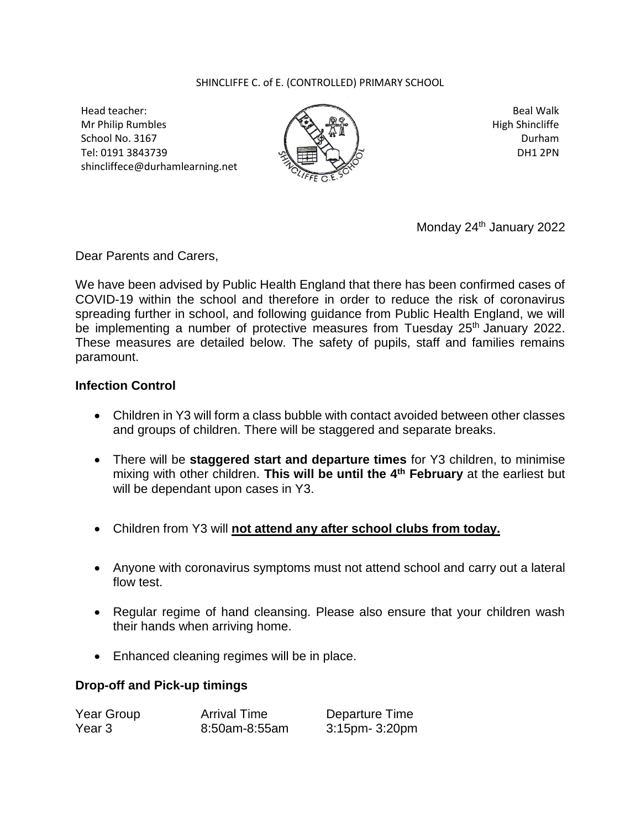## SHINCLIFFE C. of E. (CONTROLLED) PRIMARY SCHOOL

Head teacher: Mr Philip Rumbles School No. 3167 Tel: 0191 3843739 shincliffece@durhamlearning.net



Beal Walk High Shincliffe Durham DH1 2PN

Monday 24<sup>th</sup> January 2022

Dear Parents and Carers,

We have been advised by Public Health England that there has been confirmed cases of COVID-19 within the school and therefore in order to reduce the risk of coronavirus spreading further in school, and following guidance from Public Health England, we will be implementing a number of protective measures from Tuesday 25<sup>th</sup> January 2022. These measures are detailed below. The safety of pupils, staff and families remains paramount.

## **Infection Control**

- Children in Y3 will form a class bubble with contact avoided between other classes and groups of children. There will be staggered and separate breaks.
- There will be **staggered start and departure times** for Y3 children, to minimise mixing with other children. This will be until the 4<sup>th</sup> February at the earliest but will be dependant upon cases in Y3.
- Children from Y3 will **not attend any after school clubs from today.**
- Anyone with coronavirus symptoms must not attend school and carry out a lateral flow test.
- Regular regime of hand cleansing. Please also ensure that your children wash their hands when arriving home.
- Enhanced cleaning regimes will be in place.

## **Drop-off and Pick-up timings**

| Year Group | <b>Arrival Time</b> | Departure Time |
|------------|---------------------|----------------|
| Year 3     | 8:50am-8:55am       | 3:15pm- 3:20pm |